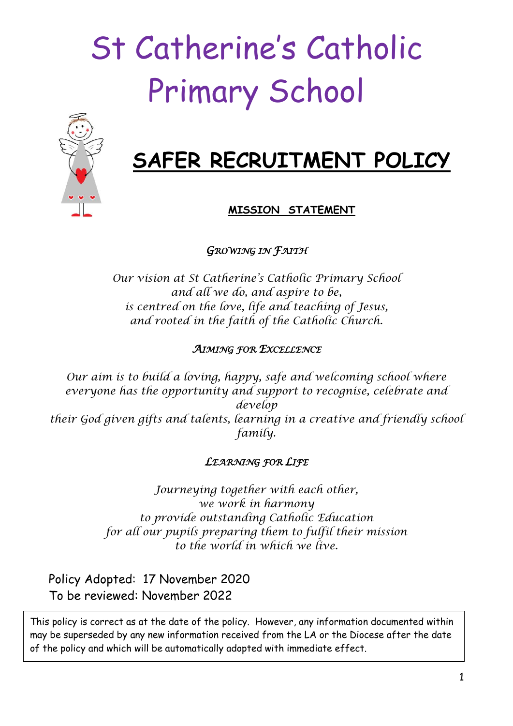# St Catherine's Catholic Primary School



# **SAFER RECRUITMENT POLICY**

# **MISSION STATEMENT**

*GROWING IN FAITH* 

*Our vision at St Catherine's Catholic Primary School and all we do, and aspire to be, is centred on the love, life and teaching of Jesus, and rooted in the faith of the Catholic Church.*

#### *AIMING FOR EXCELLENCE*

*Our aim is to build a loving, happy, safe and welcoming school where everyone has the opportunity and support to recognise, celebrate and develop their God given gifts and talents, learning in a creative and friendly school family.*

#### *LEARNING FOR LIFE*

*Journeying together with each other, we work in harmony to provide outstanding Catholic Education for all our pupils preparing them to fulfil their mission to the world in which we live.*

Policy Adopted: 17 November 2020 To be reviewed: November 2022

This policy is correct as at the date of the policy. However, any information documented within may be superseded by any new information received from the LA or the Diocese after the date of the policy and which will be automatically adopted with immediate effect.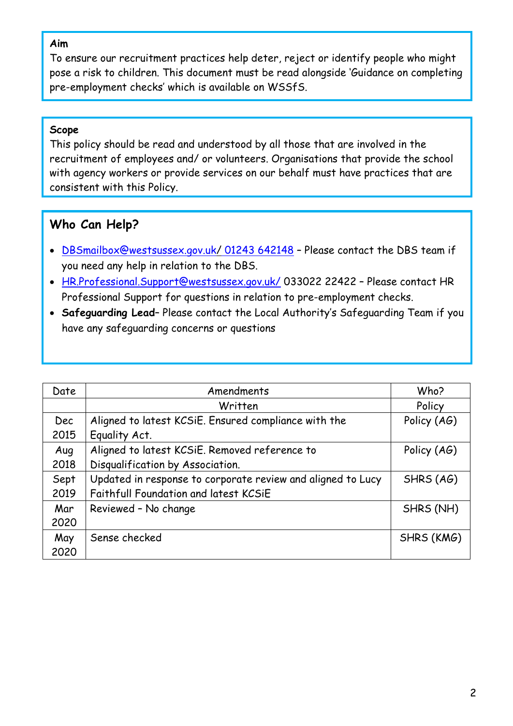#### **Aim**

To ensure our recruitment practices help deter, reject or identify people who might pose a risk to children. This document must be read alongside 'Guidance on completing pre-employment checks' which is available on WSSfS.

#### **Scope**

This policy should be read and understood by all those that are involved in the recruitment of employees and/ or volunteers. Organisations that provide the school with agency workers or provide services on our behalf must have practices that are consistent with this Policy.

# **Who Can Help?**

- [DBSmailbox@westsussex.gov.uk/](mailto:DBSmailbox@westsussex.gov.uk/) 01243 642148 Please contact the DBS team if you need any help in relation to the DBS.
- [HR.Professional.Support@westsussex.gov.uk/](mailto:HR.Professional.Support@westsussex.gov.uk/) 033022 22422 Please contact HR Professional Support for questions in relation to pre-employment checks.
- **Safeguarding Lead** Please contact the Local Authority's Safeguarding Team if you have any safeguarding concerns or questions

| Date       | Amendments                                                  | Who?        |
|------------|-------------------------------------------------------------|-------------|
|            | Written                                                     | Policy      |
| <b>Dec</b> | Aligned to latest KCSIE. Ensured compliance with the        | Policy (AG) |
| 2015       | Equality Act.                                               |             |
| Aug        | Aligned to latest KCSiE. Removed reference to               | Policy (AG) |
| 2018       | Disqualification by Association.                            |             |
| Sept       | Updated in response to corporate review and aligned to Lucy | SHRS (AG)   |
| 2019       | Faithfull Foundation and latest KCSiE                       |             |
| Mar        | Reviewed - No change                                        | SHRS (NH)   |
| 2020       |                                                             |             |
| May        | Sense checked                                               | SHRS (KMG)  |
| 2020       |                                                             |             |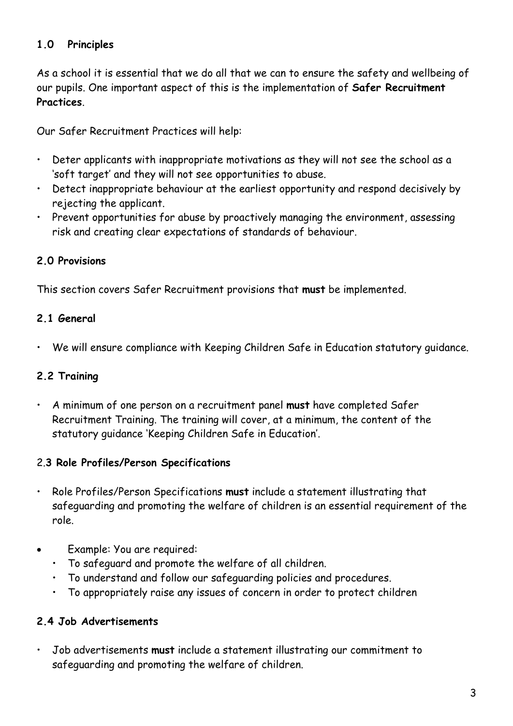# **1.0 Principles**

As a school it is essential that we do all that we can to ensure the safety and wellbeing of our pupils. One important aspect of this is the implementation of **Safer Recruitment Practices**.

Our Safer Recruitment Practices will help:

- Deter applicants with inappropriate motivations as they will not see the school as a 'soft target' and they will not see opportunities to abuse.
- Detect inappropriate behaviour at the earliest opportunity and respond decisively by rejecting the applicant.
- Prevent opportunities for abuse by proactively managing the environment, assessing risk and creating clear expectations of standards of behaviour.

#### **2.0 Provisions**

This section covers Safer Recruitment provisions that **must** be implemented.

#### **2.1 General**

• We will ensure compliance with Keeping Children Safe in Education statutory guidance.

#### **2.2 Training**

• A minimum of one person on a recruitment panel **must** have completed Safer Recruitment Training. The training will cover, at a minimum, the content of the statutory guidance 'Keeping Children Safe in Education'.

#### 2.**3 Role Profiles/Person Specifications**

- Role Profiles/Person Specifications **must** include a statement illustrating that safeguarding and promoting the welfare of children is an essential requirement of the role.
- Example: You are required:
	- To safeguard and promote the welfare of all children.
	- To understand and follow our safeguarding policies and procedures.
	- To appropriately raise any issues of concern in order to protect children

#### **2.4 Job Advertisements**

• Job advertisements **must** include a statement illustrating our commitment to safeguarding and promoting the welfare of children.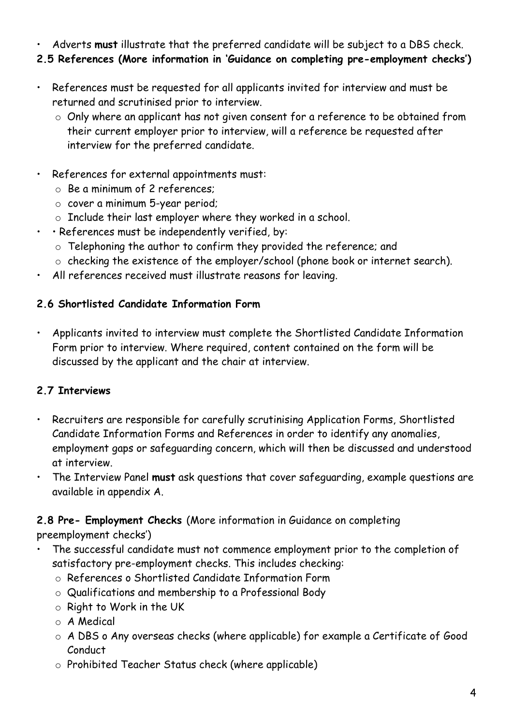- Adverts **must** illustrate that the preferred candidate will be subject to a DBS check.
- **2.5 References (More information in 'Guidance on completing pre-employment checks')**
- References must be requested for all applicants invited for interview and must be returned and scrutinised prior to interview.
	- o Only where an applicant has not given consent for a reference to be obtained from their current employer prior to interview, will a reference be requested after interview for the preferred candidate.
- References for external appointments must:
	- o Be a minimum of 2 references;
	- o cover a minimum 5-year period;
	- o Include their last employer where they worked in a school.
	- • References must be independently verified, by:
		- o Telephoning the author to confirm they provided the reference; and
		- o checking the existence of the employer/school (phone book or internet search).
- All references received must illustrate reasons for leaving.

# **2.6 Shortlisted Candidate Information Form**

• Applicants invited to interview must complete the Shortlisted Candidate Information Form prior to interview. Where required, content contained on the form will be discussed by the applicant and the chair at interview.

# **2.7 Interviews**

- Recruiters are responsible for carefully scrutinising Application Forms, Shortlisted Candidate Information Forms and References in order to identify any anomalies, employment gaps or safeguarding concern, which will then be discussed and understood at interview.
- The Interview Panel **must** ask questions that cover safeguarding, example questions are available in appendix A.

# **2.8 Pre- Employment Checks** (More information in Guidance on completing

preemployment checks')

- The successful candidate must not commence employment prior to the completion of satisfactory pre-employment checks. This includes checking:
	- o References o Shortlisted Candidate Information Form
	- o Qualifications and membership to a Professional Body
	- o Right to Work in the UK
	- o A Medical
	- o A DBS o Any overseas checks (where applicable) for example a Certificate of Good Conduct
	- o Prohibited Teacher Status check (where applicable)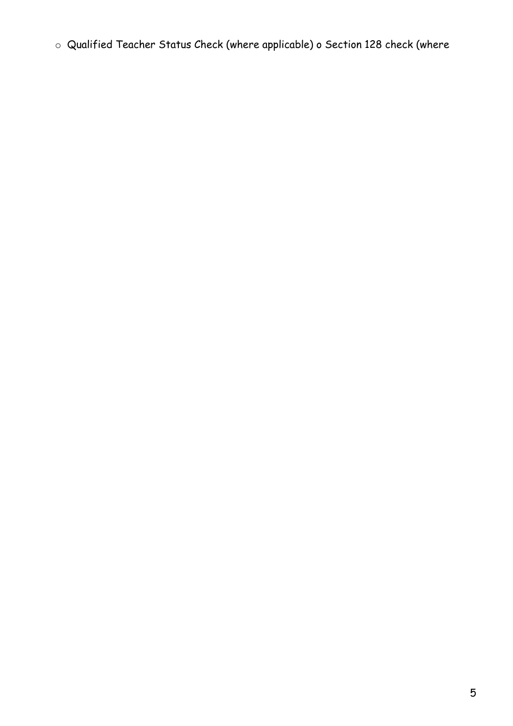o Qualified Teacher Status Check (where applicable) o Section 128 check (where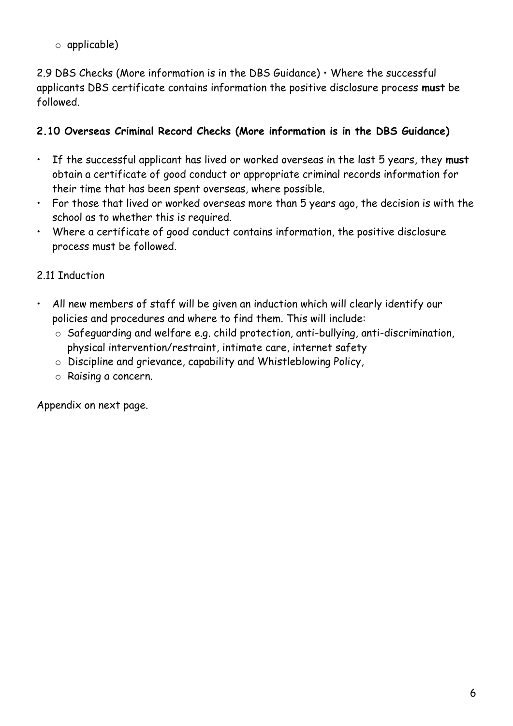o applicable)

2.9 DBS Checks (More information is in the DBS Guidance)  $\cdot$  Where the successful applicants DBS certificate contains information the positive disclosure process **must** be followed.

### **2.10 Overseas Criminal Record Checks (More information is in the DBS Guidance)**

- If the successful applicant has lived or worked overseas in the last 5 years, they **must** obtain a certificate of good conduct or appropriate criminal records information for their time that has been spent overseas, where possible.
- For those that lived or worked overseas more than 5 years ago, the decision is with the school as to whether this is required.
- Where a certificate of good conduct contains information, the positive disclosure process must be followed.

# 2.11 Induction

- All new members of staff will be given an induction which will clearly identify our policies and procedures and where to find them. This will include:
	- o Safeguarding and welfare e.g. child protection, anti-bullying, anti-discrimination, physical intervention/restraint, intimate care, internet safety
	- o Discipline and grievance, capability and Whistleblowing Policy,
	- o Raising a concern.

Appendix on next page.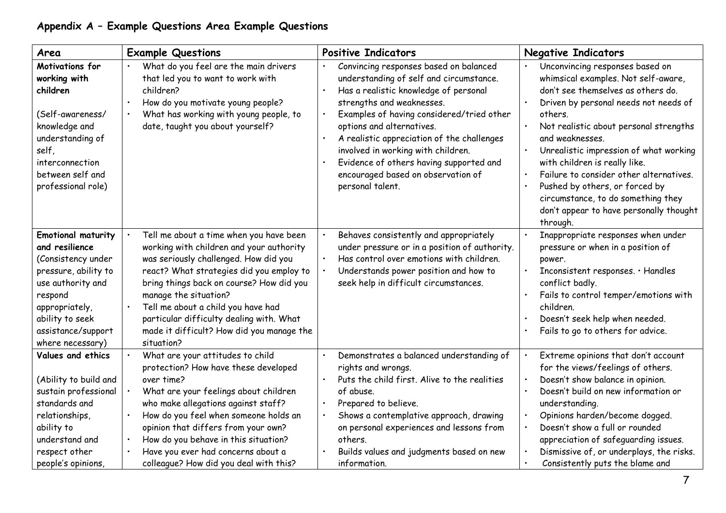# **Appendix A – Example Questions Area Example Questions**

| Area                                                                                                                                                                                                     | <b>Example Questions</b>                                                                                                                                                                                                                                                                                                                                                                   | <b>Positive Indicators</b>                                                                                                                                                                                                                                                                                                                                                                                                                           | <b>Negative Indicators</b>                                                                                                                                                                                                                                                                                                                                                                                                                                                         |
|----------------------------------------------------------------------------------------------------------------------------------------------------------------------------------------------------------|--------------------------------------------------------------------------------------------------------------------------------------------------------------------------------------------------------------------------------------------------------------------------------------------------------------------------------------------------------------------------------------------|------------------------------------------------------------------------------------------------------------------------------------------------------------------------------------------------------------------------------------------------------------------------------------------------------------------------------------------------------------------------------------------------------------------------------------------------------|------------------------------------------------------------------------------------------------------------------------------------------------------------------------------------------------------------------------------------------------------------------------------------------------------------------------------------------------------------------------------------------------------------------------------------------------------------------------------------|
| Motivations for<br>working with<br>children<br>(Self-awareness/<br>knowledge and<br>understanding of<br>self,<br>interconnection<br>between self and<br>professional role)                               | What do you feel are the main drivers<br>that led you to want to work with<br>children?<br>How do you motivate young people?<br>What has working with young people, to<br>date, taught you about yourself?                                                                                                                                                                                 | Convincing responses based on balanced<br>understanding of self and circumstance.<br>Has a realistic knowledge of personal<br>strengths and weaknesses.<br>Examples of having considered/tried other<br>$\bullet$<br>options and alternatives.<br>A realistic appreciation of the challenges<br>$\bullet$<br>involved in working with children.<br>Evidence of others having supported and<br>encouraged based on observation of<br>personal talent. | Unconvincing responses based on<br>whimsical examples. Not self-aware,<br>don't see themselves as others do.<br>Driven by personal needs not needs of<br>others.<br>Not realistic about personal strengths<br>and weaknesses.<br>Unrealistic impression of what working<br>with children is really like.<br>Failure to consider other alternatives.<br>Pushed by others, or forced by<br>circumstance, to do something they<br>don't appear to have personally thought<br>through. |
| <b>Emotional maturity</b><br>and resilience<br>(Consistency under<br>pressure, ability to<br>use authority and<br>respond<br>appropriately,<br>ability to seek<br>assistance/support<br>where necessary) | Tell me about a time when you have been<br>working with children and your authority<br>was seriously challenged. How did you<br>react? What strategies did you employ to<br>bring things back on course? How did you<br>manage the situation?<br>Tell me about a child you have had<br>particular difficulty dealing with. What<br>made it difficult? How did you manage the<br>situation? | Behaves consistently and appropriately<br>under pressure or in a position of authority.<br>Has control over emotions with children.<br>Understands power position and how to<br>seek help in difficult circumstances.                                                                                                                                                                                                                                | Inappropriate responses when under<br>pressure or when in a position of<br>power.<br>Inconsistent responses. • Handles<br>conflict badly.<br>Fails to control temper/emotions with<br>children.<br>Doesn't seek help when needed.<br>Fails to go to others for advice.                                                                                                                                                                                                             |
| Values and ethics<br>(Ability to build and<br>sustain professional<br>standards and<br>relationships,<br>ability to<br>understand and<br>respect other<br>people's opinions                              | What are your attitudes to child<br>protection? How have these developed<br>over time?<br>What are your feelings about children<br>who make allegations against staff?<br>How do you feel when someone holds an<br>opinion that differs from your own?<br>How do you behave in this situation?<br>Have you ever had concerns about a<br>colleague? How did you deal with this?             | Demonstrates a balanced understanding of<br>$\bullet$<br>rights and wrongs.<br>Puts the child first. Alive to the realities<br>of abuse.<br>Prepared to believe.<br>$\bullet$<br>Shows a contemplative approach, drawing<br>$\bullet$<br>on personal experiences and lessons from<br>others.<br>Builds values and judgments based on new<br>information.                                                                                             | Extreme opinions that don't account<br>for the views/feelings of others.<br>Doesn't show balance in opinion.<br>Doesn't build on new information or<br>understanding.<br>Opinions harden/become dogged.<br>Doesn't show a full or rounded<br>appreciation of safeguarding issues.<br>Dismissive of, or underplays, the risks.<br>Consistently puts the blame and                                                                                                                   |